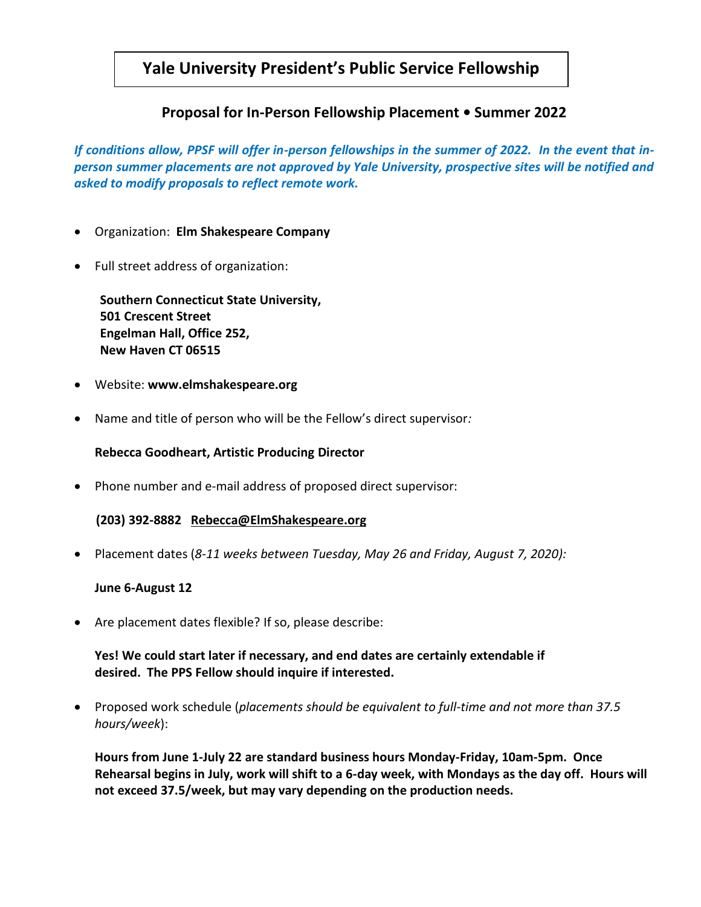## **Yale University President's Public Service Fellowship**

## **Proposal for In-Person Fellowship Placement • Summer 2022**

*If conditions allow, PPSF will offer in-person fellowships in the summer of 2022. In the event that inperson summer placements are not approved by Yale University, prospective sites will be notified and asked to modify proposals to reflect remote work.*

- Organization: **Elm Shakespeare Company**
- Full street address of organization:

 **Southern Connecticut State University, 501 Crescent Street Engelman Hall, Office 252, New Haven CT 06515**

- Website: **www.elmshakespeare.org**
- Name and title of person who will be the Fellow's direct supervisor*:*

**Rebecca Goodheart, Artistic Producing Director**

• Phone number and e-mail address of proposed direct supervisor:

 **(203) 392-8882 [Rebecca@ElmShakespeare.org](mailto:Rebecca@ElmShakespeare.org)**

• Placement dates (*8-11 weeks between Tuesday, May 26 and Friday, August 7, 2020):*

## **June 6-August 12**

• Are placement dates flexible? If so, please describe:

## **Yes! We could start later if necessary, and end dates are certainly extendable if desired. The PPS Fellow should inquire if interested.**

• Proposed work schedule (*placements should be equivalent to full-time and not more than 37.5 hours/week*):

**Hours from June 1-July 22 are standard business hours Monday-Friday, 10am-5pm. Once Rehearsal begins in July, work will shift to a 6-day week, with Mondays as the day off. Hours will not exceed 37.5/week, but may vary depending on the production needs.**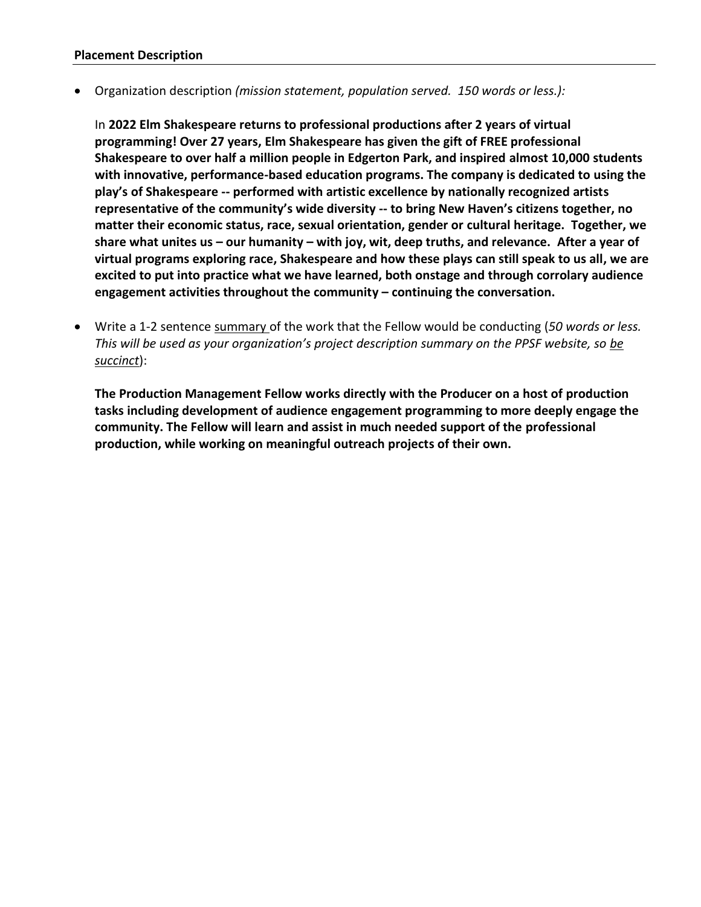• Organization description *(mission statement, population served. 150 words or less.):*

In **2022 Elm Shakespeare returns to professional productions after 2 years of virtual programming! Over 27 years, Elm Shakespeare has given the gift of FREE professional Shakespeare to over half a million people in Edgerton Park, and inspired almost 10,000 students with innovative, performance-based education programs. The company is dedicated to using the play's of Shakespeare -- performed with artistic excellence by nationally recognized artists representative of the community's wide diversity -- to bring New Haven's citizens together, no matter their economic status, race, sexual orientation, gender or cultural heritage. Together, we share what unites us – our humanity – with joy, wit, deep truths, and relevance. After a year of virtual programs exploring race, Shakespeare and how these plays can still speak to us all, we are excited to put into practice what we have learned, both onstage and through corrolary audience engagement activities throughout the community – continuing the conversation.**

• Write a 1-2 sentence summary of the work that the Fellow would be conducting (*50 words or less. This will be used as your organization's project description summary on the PPSF website, so be succinct*):

**The Production Management Fellow works directly with the Producer on a host of production tasks including development of audience engagement programming to more deeply engage the community. The Fellow will learn and assist in much needed support of the professional production, while working on meaningful outreach projects of their own.**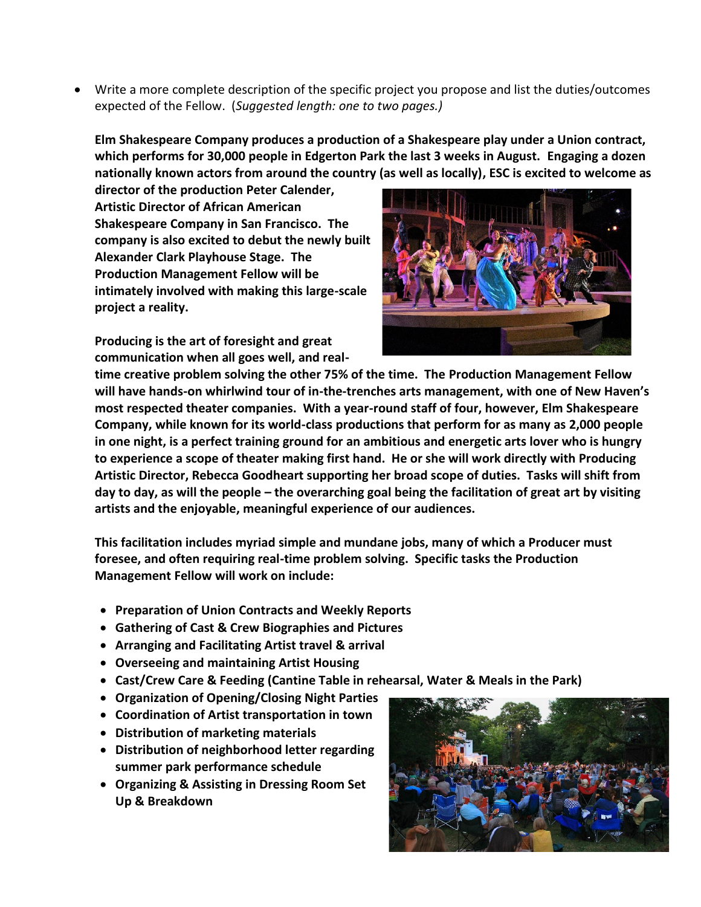• Write a more complete description of the specific project you propose and list the duties/outcomes expected of the Fellow. (*Suggested length: one to two pages.)*

**Elm Shakespeare Company produces a production of a Shakespeare play under a Union contract, which performs for 30,000 people in Edgerton Park the last 3 weeks in August. Engaging a dozen nationally known actors from around the country (as well as locally), ESC is excited to welcome as** 

**director of the production Peter Calender, Artistic Director of African American Shakespeare Company in San Francisco. The company is also excited to debut the newly built Alexander Clark Playhouse Stage. The Production Management Fellow will be intimately involved with making this large-scale project a reality.**

**Producing is the art of foresight and great communication when all goes well, and real-**



**time creative problem solving the other 75% of the time. The Production Management Fellow will have hands-on whirlwind tour of in-the-trenches arts management, with one of New Haven's most respected theater companies. With a year-round staff of four, however, Elm Shakespeare Company, while known for its world-class productions that perform for as many as 2,000 people in one night, is a perfect training ground for an ambitious and energetic arts lover who is hungry to experience a scope of theater making first hand. He or she will work directly with Producing Artistic Director, Rebecca Goodheart supporting her broad scope of duties. Tasks will shift from day to day, as will the people – the overarching goal being the facilitation of great art by visiting artists and the enjoyable, meaningful experience of our audiences.** 

**This facilitation includes myriad simple and mundane jobs, many of which a Producer must foresee, and often requiring real-time problem solving. Specific tasks the Production Management Fellow will work on include:**

- **Preparation of Union Contracts and Weekly Reports**
- **Gathering of Cast & Crew Biographies and Pictures**
- **Arranging and Facilitating Artist travel & arrival**
- **Overseeing and maintaining Artist Housing**
- **Cast/Crew Care & Feeding (Cantine Table in rehearsal, Water & Meals in the Park)**
- **Organization of Opening/Closing Night Parties**
- **Coordination of Artist transportation in town**
- **Distribution of marketing materials**
- **Distribution of neighborhood letter regarding summer park performance schedule**
- **Organizing & Assisting in Dressing Room Set Up & Breakdown**

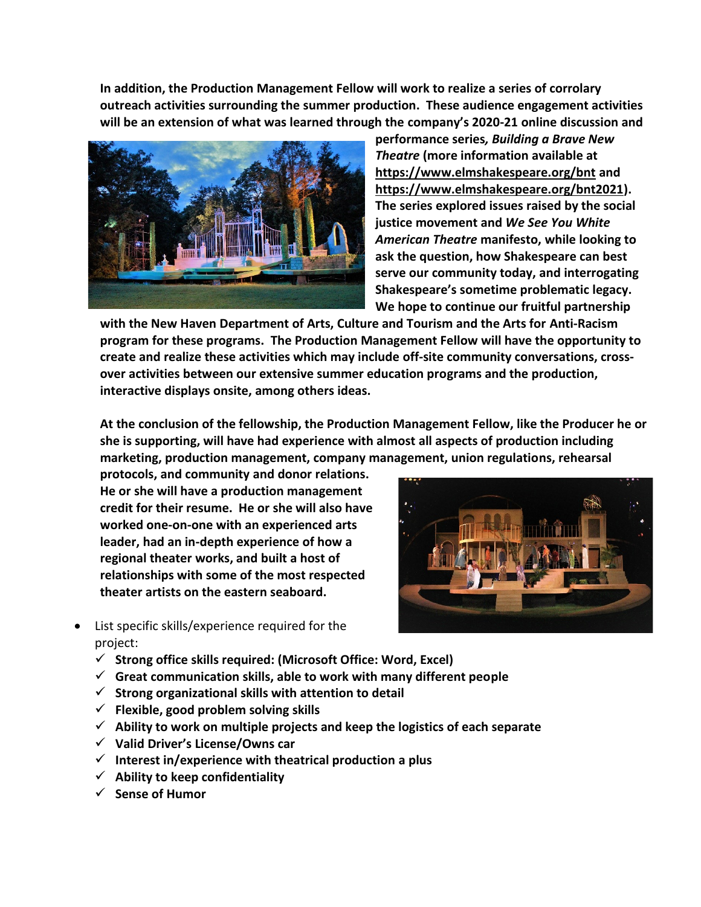**In addition, the Production Management Fellow will work to realize a series of corrolary outreach activities surrounding the summer production. These audience engagement activities will be an extension of what was learned through the company's 2020-21 online discussion and** 



**performance series***, Building a Brave New Theatre* **(more information available at <https://www.elmshakespeare.org/bnt> and [https://www.elmshakespeare.org/bnt2021\)](https://www.elmshakespeare.org/bnt2021). The series explored issues raised by the social justice movement and** *We See You White American Theatre* **manifesto, while looking to ask the question, how Shakespeare can best serve our community today, and interrogating Shakespeare's sometime problematic legacy. We hope to continue our fruitful partnership** 

**with the New Haven Department of Arts, Culture and Tourism and the Arts for Anti-Racism program for these programs. The Production Management Fellow will have the opportunity to create and realize these activities which may include off-site community conversations, crossover activities between our extensive summer education programs and the production, interactive displays onsite, among others ideas.**

**At the conclusion of the fellowship, the Production Management Fellow, like the Producer he or she is supporting, will have had experience with almost all aspects of production including marketing, production management, company management, union regulations, rehearsal** 

**protocols, and community and donor relations. He or she will have a production management credit for their resume. He or she will also have worked one-on-one with an experienced arts leader, had an in-depth experience of how a regional theater works, and built a host of relationships with some of the most respected theater artists on the eastern seaboard.** 



- List specific skills/experience required for the project:
	- ✓ **Strong office skills required: (Microsoft Office: Word, Excel)**
	- ✓ **Great communication skills, able to work with many different people**
	- ✓ **Strong organizational skills with attention to detail**
	- ✓ **Flexible, good problem solving skills**
	- ✓ **Ability to work on multiple projects and keep the logistics of each separate**
	- ✓ **Valid Driver's License/Owns car**
	- ✓ **Interest in/experience with theatrical production a plus**
	- ✓ **Ability to keep confidentiality**
	- ✓ **Sense of Humor**